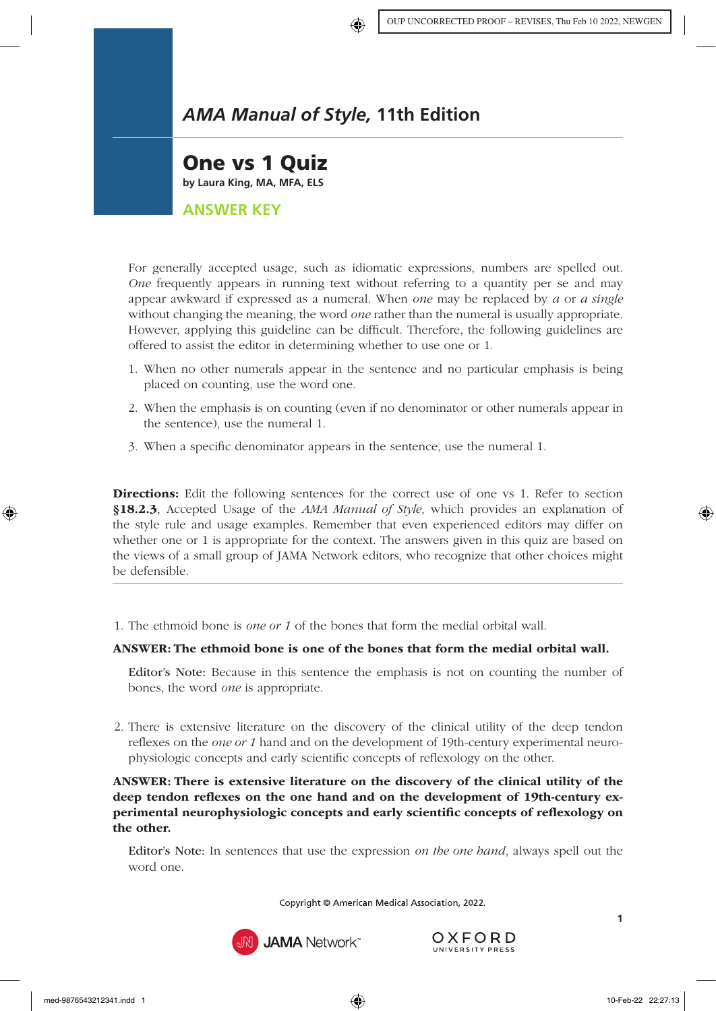

One vs 1 Quiz **by Laura King, MA, MFA, ELS**

**ANSWER KEY**

For generally accepted usage, such as idiomatic expressions, numbers are spelled out. *One* frequently appears in running text without referring to a quantity per se and may appear awkward if expressed as a numeral. When *one* may be replaced by *a* or *a single* without changing the meaning, the word *one* rather than the numeral is usually appropriate. However, applying this guideline can be difficult. Therefore, the following guidelines are offered to assist the editor in determining whether to use one or 1.

- 1. When no other numerals appear in the sentence and no particular emphasis is being placed on counting, use the word one.
- 2. When the emphasis is on counting (even if no denominator or other numerals appear in the sentence), use the numeral 1.
- 3. When a specific denominator appears in the sentence, use the numeral 1.

Directions: Edit the following sentences for the correct use of one vs 1. Refer to section §18.2.3[, Accepted Usage](https://www.amamanualofstyle.com/view/10.1093/jama/9780190246556.001.0001/med-9780190246556-chapter-18-div2-11) of the *AMA Manual of Style*, which provides an explanation of the style rule and usage examples. Remember that even experienced editors may differ on whether one or 1 is appropriate for the context. The answers given in this quiz are based on the views of a small group of JAMA Network editors, who recognize that other choices might be defensible.

1. The ethmoid bone is *one or 1* of the bones that form the medial orbital wall.

#### ANSWER: The ethmoid bone is one of the bones that form the medial orbital wall.

Editor's Note: Because in this sentence the emphasis is not on counting the number of bones, the word *one* is appropriate.

2. There is extensive literature on the discovery of the clinical utility of the deep tendon reflexes on the *one or 1* hand and on the development of 19th-century experimental neurophysiologic concepts and early scientific concepts of reflexology on the other.

ANSWER: There is extensive literature on the discovery of the clinical utility of the deep tendon reflexes on the one hand and on the development of 19th-century experimental neurophysiologic concepts and early scientific concepts of reflexology on the other.

Editor's Note: In sentences that use the expression *on the one hand*, always spell out the word one.

Copyright © American Medical Association, 2022.



**JAMA** Network<sup>\*</sup>

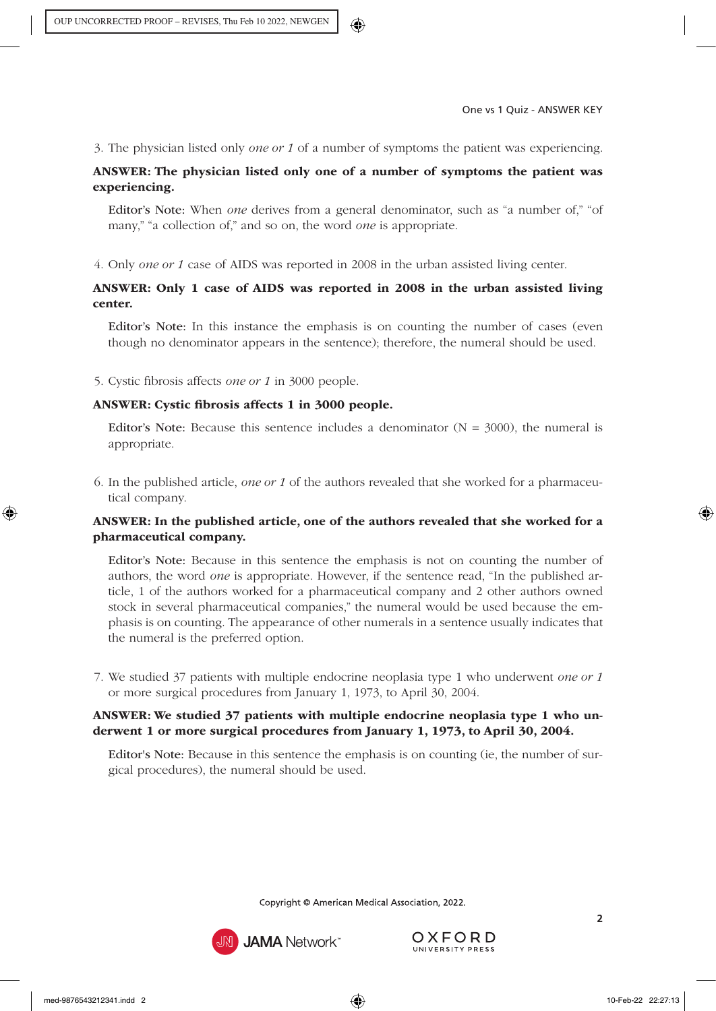3. The physician listed only *one or 1* of a number of symptoms the patient was experiencing.

# ANSWER: The physician listed only one of a number of symptoms the patient was experiencing.

Editor's Note: When *one* derives from a general denominator, such as "a number of," "of many," "a collection of," and so on, the word *one* is appropriate.

4. Only *one or 1* case of AIDS was reported in 2008 in the urban assisted living center.

# ANSWER: Only 1 case of AIDS was reported in 2008 in the urban assisted living center.

Editor's Note: In this instance the emphasis is on counting the number of cases (even though no denominator appears in the sentence); therefore, the numeral should be used.

5. Cystic fibrosis affects *one or 1* in 3000 people.

#### ANSWER: Cystic fibrosis affects 1 in 3000 people.

Editor's Note: Because this sentence includes a denominator  $(N = 3000)$ , the numeral is appropriate.

6. In the published article, *one or 1* of the authors revealed that she worked for a pharmaceutical company.

## ANSWER: In the published article, one of the authors revealed that she worked for a pharmaceutical company.

Editor's Note: Because in this sentence the emphasis is not on counting the number of authors, the word *one* is appropriate. However, if the sentence read, "In the published article, 1 of the authors worked for a pharmaceutical company and 2 other authors owned stock in several pharmaceutical companies," the numeral would be used because the emphasis is on counting. The appearance of other numerals in a sentence usually indicates that the numeral is the preferred option.

7. We studied 37 patients with multiple endocrine neoplasia type 1 who underwent *one or 1* or more surgical procedures from January 1, 1973, to April 30, 2004.

#### ANSWER: We studied 37 patients with multiple endocrine neoplasia type 1 who underwent 1 or more surgical procedures from January 1, 1973, to April 30, 2004.

Editor's Note: Because in this sentence the emphasis is on counting (ie, the number of surgical procedures), the numeral should be used.

Copyright © American Medical Association, 2022.